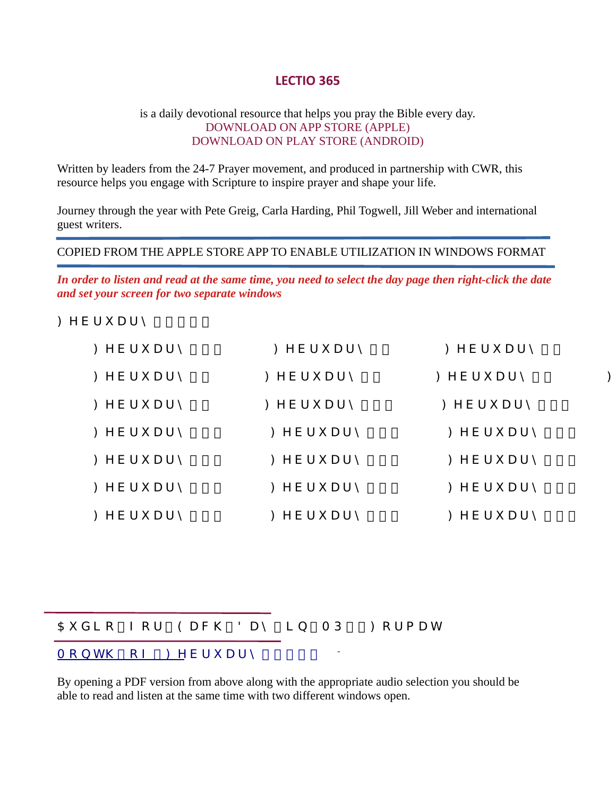# LECTIO 365

#### is a daily devotional resource that helps you pray the Bible every day. DOWNLOAD ON APP STORE (APPLE) DOWNLOAD ON PLAY STORE (ANDROID)

Written by leaders from the 24-7 Prayer movement, and produced in partnership with CWR, this resource helps you engage with Scripture to inspire prayer and shape your life.

Journey through the year with Pete Greig, Carla Harding, Phil Togwell, Jill Weber and international guest writers.

#### COPIED FROM THE APPLE STORE APP TO ENABLE UTILIZATION IN WINDOWS FORMAT

In order to listen and read at the same time, you need to select the day page then right-click the date and set your screen for two separate windows

: YVf i Uf m  $&S&\%$ 

| : YVf i Uf $m \dot{ }$ % $\dot{ }$ | : $YYf$ i Uf $m$ &         | : YVf i Uf m '      |  |
|------------------------------------|----------------------------|---------------------|--|
| : YVf i Uf m'                      | : YVf i Uf $m$ *           | : $YVf$ i Uf m +    |  |
| $:$ YVf i Uf m $-$                 | : YVf i Uf $m \dot{ }$ %\$ | : YVf i Uf m $%$    |  |
| : YVf i Uf $m'$ %'                 | : YVf i Uf m $%$ (         | : YVf i Uf m $\%$ ) |  |
| : YVf i Uf m $\%$ +                | : YVf i Uf $m'$ %,         | : YVf i Uf m $%$ -  |  |
| : YVf i Uf m $\&\%$                | : YVf i Uf $m \cdot \&$ &  | : YVf i Uf $m'$ &'  |  |
| : YVf i Uf m $\&$ )                | : YVf i Uf m $\&*$         | : YVf i Uf m $&+$   |  |

 $5i$  X  $c$   $c$   $c$   $f$   $9$   $U$   $W$   $8$   $U$   $m$   $b$   $A$   $D'$   $c$   $f$   $a$   $U$   $h$  $A c b h \ C Z$ : YVfi Uf m &  $8 &$  %

By opening a PDF version from above along with the appropriate audio selection you should be able to read and listen at the same time with two different windows open.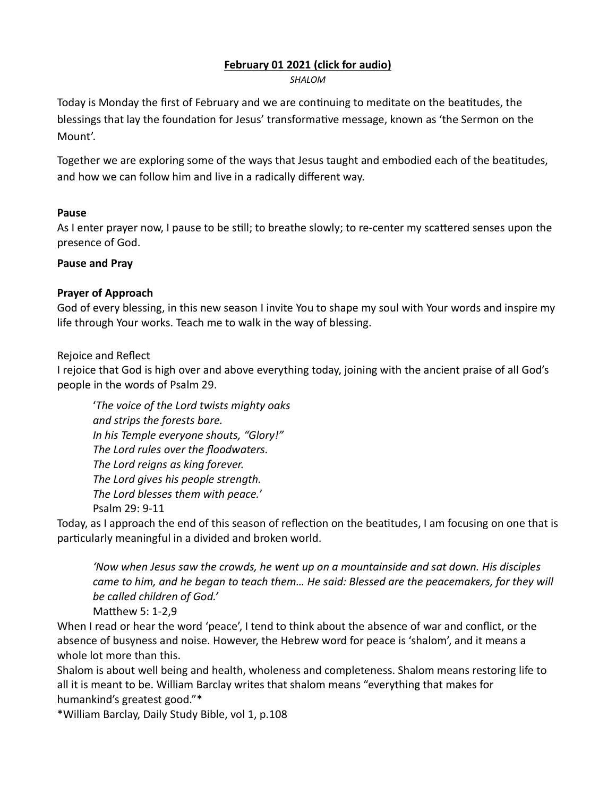# [February 01 2021 \(click for audio\)](https://drive.google.com/file/d/1sd0LQb6DoJr9RHfnOMo-Te5hJuqpy4VQ/view?usp=sharing)

SHALOM

Today is Monday the first of February and we are continuing to meditate on the beatitudes, the blessings that lay the foundation for Jesus' transformative message, known as 'the Sermon on the Mount'.

Together we are exploring some of the ways that Jesus taught and embodied each of the beatitudes, and how we can follow him and live in a radically different way.

# Pause

As I enter prayer now, I pause to be still; to breathe slowly; to re-center my scattered senses upon the presence of God.

# Pause and Pray

# Prayer of Approach

God of every blessing, in this new season I invite You to shape my soul with Your words and inspire my life through Your works. Teach me to walk in the way of blessing.

# Rejoice and Reflect

I rejoice that God is high over and above everything today, joining with the ancient praise of all God's people in the words of Psalm 29.

'The voice of the Lord twists mighty oaks and strips the forests bare. In his Temple everyone shouts, "Glory!" The Lord rules over the floodwaters. The Lord reigns as king forever. The Lord gives his people strength. The Lord blesses them with peace.' Psalm 29: 9-11

Today, as I approach the end of this season of reflection on the beatitudes, I am focusing on one that is particularly meaningful in a divided and broken world.

'Now when Jesus saw the crowds, he went up on a mountainside and sat down. His disciples came to him, and he began to teach them… He said: Blessed are the peacemakers, for they will be called children of God.'

Matthew 5: 1-2,9

When I read or hear the word 'peace', I tend to think about the absence of war and conflict, or the absence of busyness and noise. However, the Hebrew word for peace is 'shalom', and it means a whole lot more than this.

Shalom is about well being and health, wholeness and completeness. Shalom means restoring life to all it is meant to be. William Barclay writes that shalom means "everything that makes for humankind's greatest good."\*

\*William Barclay, Daily Study Bible, vol 1, p.108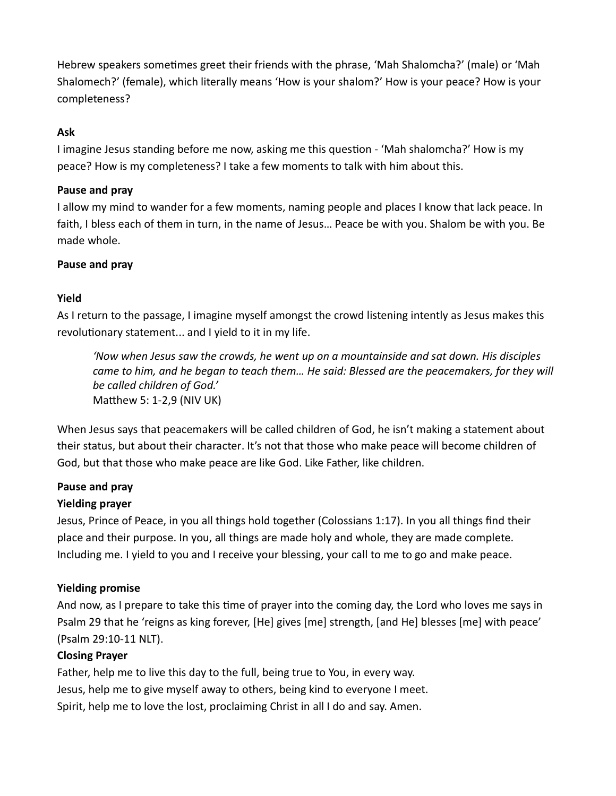Hebrew speakers sometimes greet their friends with the phrase, 'Mah Shalomcha?' (male) or 'Mah Shalomech?' (female), which literally means 'How is your shalom?' How is your peace? How is your completeness?

# Ask

I imagine Jesus standing before me now, asking me this question - 'Mah shalomcha?' How is my peace? How is my completeness? I take a few moments to talk with him about this.

# Pause and pray

I allow my mind to wander for a few moments, naming people and places I know that lack peace. In faith, I bless each of them in turn, in the name of Jesus… Peace be with you. Shalom be with you. Be made whole.

# Pause and pray

# Yield

As I return to the passage, I imagine myself amongst the crowd listening intently as Jesus makes this revolutionary statement... and I yield to it in my life.

'Now when Jesus saw the crowds, he went up on a mountainside and sat down. His disciples came to him, and he began to teach them… He said: Blessed are the peacemakers, for they will be called children of God.' Matthew 5: 1-2,9 (NIV UK)

When Jesus says that peacemakers will be called children of God, he isn't making a statement about their status, but about their character. It's not that those who make peace will become children of God, but that those who make peace are like God. Like Father, like children.

# Pause and pray

# Yielding prayer

Jesus, Prince of Peace, in you all things hold together (Colossians 1:17). In you all things find their place and their purpose. In you, all things are made holy and whole, they are made complete. Including me. I yield to you and I receive your blessing, your call to me to go and make peace.

# Yielding promise

And now, as I prepare to take this time of prayer into the coming day, the Lord who loves me says in Psalm 29 that he 'reigns as king forever, [He] gives [me] strength, [and He] blesses [me] with peace' (Psalm 29:10-11 NLT).

# Closing Prayer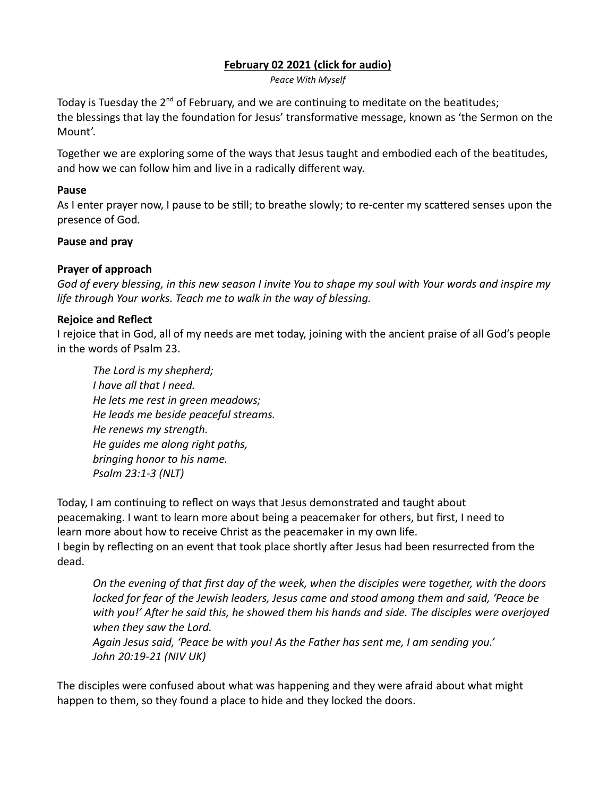# [February 02 2021 \(click for audio\)](https://drive.google.com/file/d/1psNeybpwCj3NrJaD_9xJIKtQYmBGPUEf/view?usp=sharing)

Peace With Myself

Today is Tuesday the  $2<sup>nd</sup>$  of February, and we are continuing to meditate on the beatitudes; the blessings that lay the foundation for Jesus' transformative message, known as 'the Sermon on the Mount'.

Together we are exploring some of the ways that Jesus taught and embodied each of the beatitudes, and how we can follow him and live in a radically different way.

#### Pause

As I enter prayer now, I pause to be still; to breathe slowly; to re-center my scattered senses upon the presence of God.

#### Pause and pray

#### Prayer of approach

God of every blessing, in this new season I invite You to shape my soul with Your words and inspire my life through Your works. Teach me to walk in the way of blessing.

#### Rejoice and Reflect

I rejoice that in God, all of my needs are met today, joining with the ancient praise of all God's people in the words of Psalm 23.

The Lord is my shepherd; I have all that I need. He lets me rest in green meadows; He leads me beside peaceful streams. He renews my strength. He guides me along right paths, bringing honor to his name. Psalm 23:1-3 (NLT)

Today, I am continuing to reflect on ways that Jesus demonstrated and taught about peacemaking. I want to learn more about being a peacemaker for others, but first, I need to learn more about how to receive Christ as the peacemaker in my own life. I begin by reflecting on an event that took place shortly after Jesus had been resurrected from the dead.

On the evening of that first day of the week, when the disciples were together, with the doors locked for fear of the Jewish leaders, Jesus came and stood among them and said, 'Peace be with you!' After he said this, he showed them his hands and side. The disciples were overjoyed when they saw the Lord.

Again Jesus said, 'Peace be with you! As the Father has sent me, I am sending you.' John 20:19-21 (NIV UK)

The disciples were confused about what was happening and they were afraid about what might happen to them, so they found a place to hide and they locked the doors.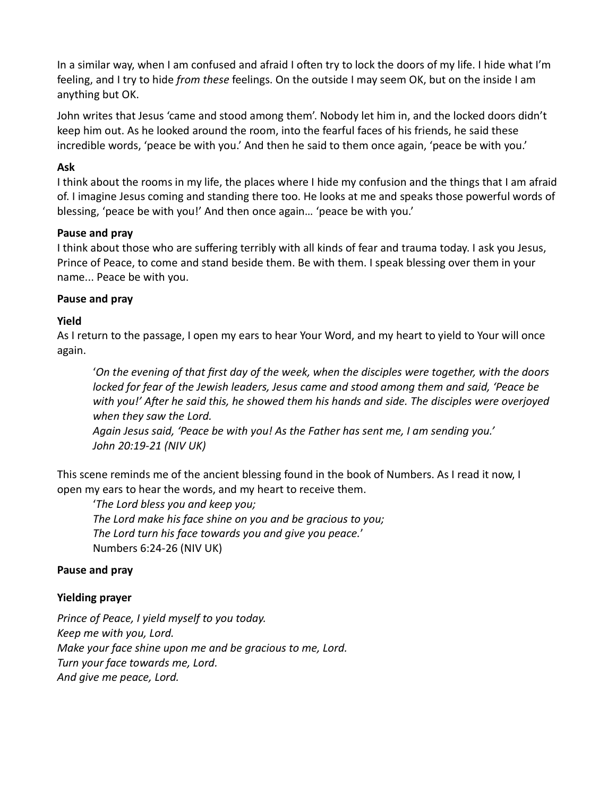In a similar way, when I am confused and afraid I often try to lock the doors of my life. I hide what I'm feeling, and I try to hide *from these* feelings. On the outside I may seem OK, but on the inside I am anything but OK.

John writes that Jesus 'came and stood among them'. Nobody let him in, and the locked doors didn't keep him out. As he looked around the room, into the fearful faces of his friends, he said these incredible words, 'peace be with you.' And then he said to them once again, 'peace be with you.'

# Ask

I think about the rooms in my life, the places where I hide my confusion and the things that I am afraid of. I imagine Jesus coming and standing there too. He looks at me and speaks those powerful words of blessing, 'peace be with you!' And then once again… 'peace be with you.'

#### Pause and pray

I think about those who are suffering terribly with all kinds of fear and trauma today. I ask you Jesus, Prince of Peace, to come and stand beside them. Be with them. I speak blessing over them in your name... Peace be with you.

#### Pause and pray

#### Yield

As I return to the passage, I open my ears to hear Your Word, and my heart to yield to Your will once again.

'On the evening of that first day of the week, when the disciples were together, with the doors locked for fear of the Jewish leaders, Jesus came and stood among them and said, 'Peace be with you!' After he said this, he showed them his hands and side. The disciples were overjoyed when they saw the Lord.

Again Jesus said, 'Peace be with you! As the Father has sent me, I am sending you.' John 20:19-21 (NIV UK)

This scene reminds me of the ancient blessing found in the book of Numbers. As I read it now, I open my ears to hear the words, and my heart to receive them.

'The Lord bless you and keep you; The Lord make his face shine on you and be gracious to you; The Lord turn his face towards you and give you peace.' Numbers 6:24-26 (NIV UK)

#### Pause and pray

#### Yielding prayer

Prince of Peace, I yield myself to you today. Keep me with you, Lord. Make your face shine upon me and be gracious to me, Lord. Turn your face towards me, Lord. And give me peace, Lord.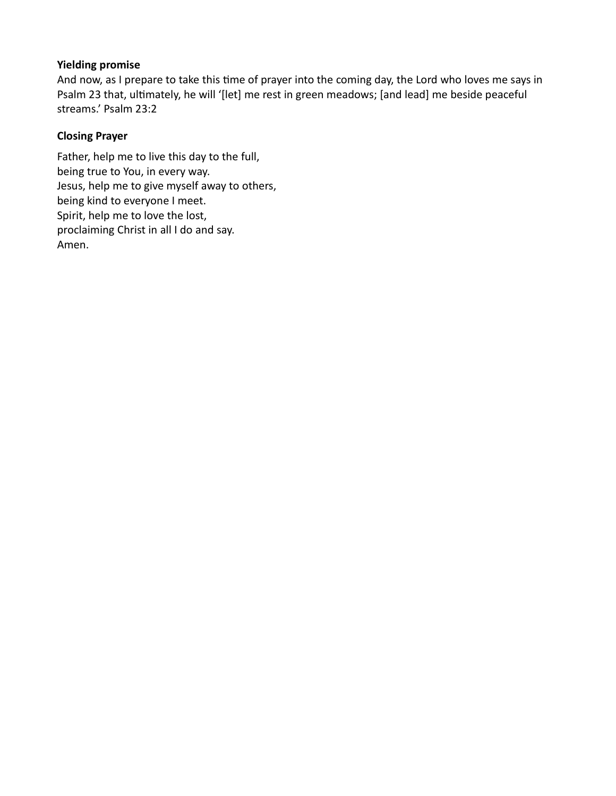# Yielding promise

And now, as I prepare to take this time of prayer into the coming day, the Lord who loves me says in Psalm 23 that, ultimately, he will '[let] me rest in green meadows; [and lead] me beside peaceful streams.' Psalm 23:2

# Closing Prayer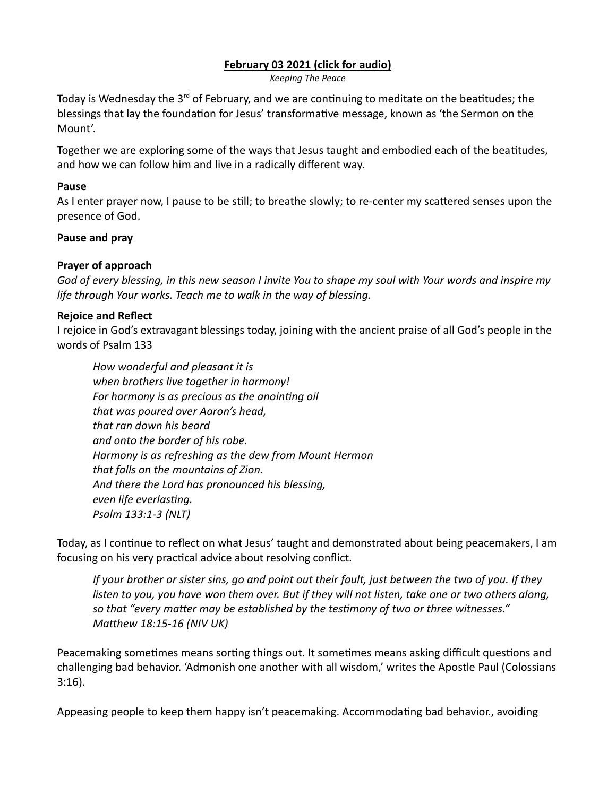#### [February 03 2021 \(click for audio\)](https://drive.google.com/file/d/1fAZLWhxfgPSnecKuyzVReiO_a_B1tTdL/view?usp=sharing)

Keeping The Peace

Today is Wednesday the  $3<sup>rd</sup>$  of February, and we are continuing to meditate on the beatitudes; the blessings that lay the foundation for Jesus' transformative message, known as 'the Sermon on the Mount'.

Together we are exploring some of the ways that Jesus taught and embodied each of the beatitudes, and how we can follow him and live in a radically different way.

#### Pause

As I enter prayer now, I pause to be still; to breathe slowly; to re-center my scattered senses upon the presence of God.

#### Pause and pray

#### Prayer of approach

God of every blessing, in this new season I invite You to shape my soul with Your words and inspire my life through Your works. Teach me to walk in the way of blessing.

#### Rejoice and Reflect

I rejoice in God's extravagant blessings today, joining with the ancient praise of all God's people in the words of Psalm 133

How wonderful and pleasant it is when brothers live together in harmony! For harmony is as precious as the anointing oil that was poured over Aaron's head, that ran down his beard and onto the border of his robe. Harmony is as refreshing as the dew from Mount Hermon that falls on the mountains of Zion. And there the Lord has pronounced his blessing, even life everlasting. Psalm 133:1-3 (NLT)

Today, as I continue to reflect on what Jesus' taught and demonstrated about being peacemakers, I am focusing on his very practical advice about resolving conflict.

If your brother or sister sins, go and point out their fault, just between the two of you. If they listen to you, you have won them over. But if they will not listen, take one or two others along, so that "every matter may be established by the testimony of two or three witnesses." Matthew 18:15-16 (NIV UK)

Peacemaking sometimes means sorting things out. It sometimes means asking difficult questions and challenging bad behavior. 'Admonish one another with all wisdom,' writes the Apostle Paul (Colossians 3:16).

Appeasing people to keep them happy isn't peacemaking. Accommodating bad behavior., avoiding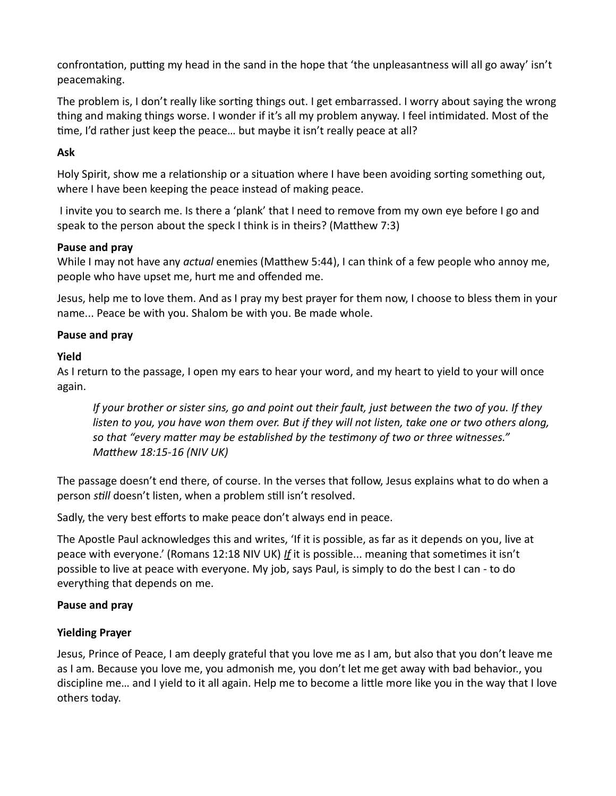confrontation, putting my head in the sand in the hope that 'the unpleasantness will all go away' isn't peacemaking.

The problem is, I don't really like sorting things out. I get embarrassed. I worry about saying the wrong thing and making things worse. I wonder if it's all my problem anyway. I feel intimidated. Most of the time, I'd rather just keep the peace... but maybe it isn't really peace at all?

# Ask

Holy Spirit, show me a relationship or a situation where I have been avoiding sorting something out, where I have been keeping the peace instead of making peace.

 I invite you to search me. Is there a 'plank' that I need to remove from my own eye before I go and speak to the person about the speck I think is in theirs? (Matthew 7:3)

# Pause and pray

While I may not have any *actual* enemies (Matthew 5:44), I can think of a few people who annoy me, people who have upset me, hurt me and offended me.

Jesus, help me to love them. And as I pray my best prayer for them now, I choose to bless them in your name... Peace be with you. Shalom be with you. Be made whole.

# Pause and pray

# Yield

As I return to the passage, I open my ears to hear your word, and my heart to yield to your will once again.

If your brother or sister sins, go and point out their fault, just between the two of you. If they listen to you, you have won them over. But if they will not listen, take one or two others along, so that "every matter may be established by the testimony of two or three witnesses." Matthew 18:15-16 (NIV UK)

The passage doesn't end there, of course. In the verses that follow, Jesus explains what to do when a person still doesn't listen, when a problem still isn't resolved.

Sadly, the very best efforts to make peace don't always end in peace.

The Apostle Paul acknowledges this and writes, 'If it is possible, as far as it depends on you, live at peace with everyone.' (Romans 12:18 NIV UK) If it is possible... meaning that sometimes it isn't possible to live at peace with everyone. My job, says Paul, is simply to do the best I can - to do everything that depends on me.

# Pause and pray

# Yielding Prayer

Jesus, Prince of Peace, I am deeply grateful that you love me as I am, but also that you don't leave me as I am. Because you love me, you admonish me, you don't let me get away with bad behavior., you discipline me... and I yield to it all again. Help me to become a little more like you in the way that I love others today.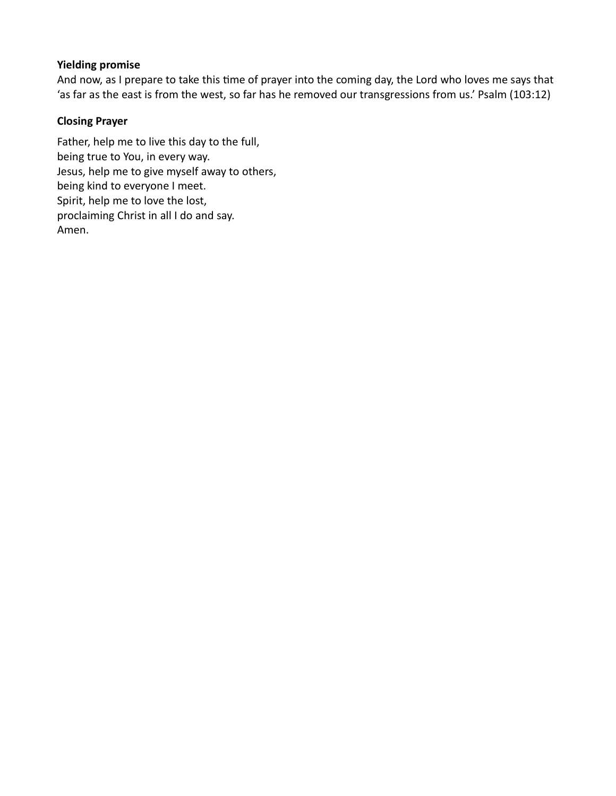# Yielding promise

And now, as I prepare to take this time of prayer into the coming day, the Lord who loves me says that 'as far as the east is from the west, so far has he removed our transgressions from us.' Psalm (103:12)

# Closing Prayer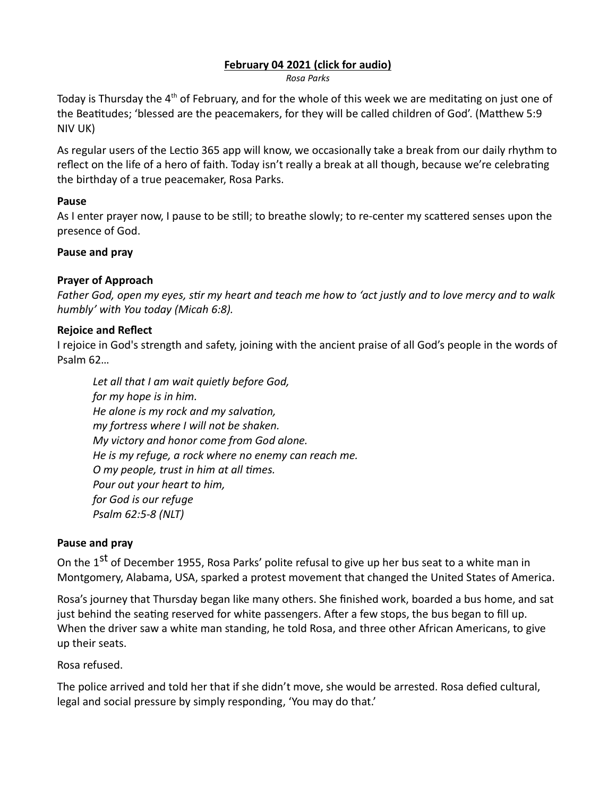# [February 04 2021 \(click for audio\)](https://drive.google.com/file/d/1FNaZnqMmqGvt0qULJ5EgV-8xCGJ7cJvA/view?usp=sharing)

Rosa Parks

Today is Thursday the 4<sup>th</sup> of February, and for the whole of this week we are meditating on just one of the Beatitudes; 'blessed are the peacemakers, for they will be called children of God'. (Matthew 5:9 NIV UK)

As regular users of the Lectio 365 app will know, we occasionally take a break from our daily rhythm to reflect on the life of a hero of faith. Today isn't really a break at all though, because we're celebrating the birthday of a true peacemaker, Rosa Parks.

# Pause

As I enter prayer now, I pause to be still; to breathe slowly; to re-center my scattered senses upon the presence of God.

# Pause and pray

# Prayer of Approach

Father God, open my eyes, stir my heart and teach me how to 'act justly and to love mercy and to walk humbly' with You today (Micah 6:8).

# Rejoice and Reflect

I rejoice in God's strength and safety, joining with the ancient praise of all God's people in the words of Psalm 62…

Let all that I am wait quietly before God, for my hope is in him. He alone is my rock and my salvation, my fortress where I will not be shaken. My victory and honor come from God alone. He is my refuge, a rock where no enemy can reach me. O my people, trust in him at all times. Pour out your heart to him, for God is our refuge Psalm 62:5-8 (NLT)

# Pause and pray

On the 1<sup>st</sup> of December 1955, Rosa Parks' polite refusal to give up her bus seat to a white man in Montgomery, Alabama, USA, sparked a protest movement that changed the United States of America.

Rosa's journey that Thursday began like many others. She finished work, boarded a bus home, and sat just behind the seating reserved for white passengers. After a few stops, the bus began to fill up. When the driver saw a white man standing, he told Rosa, and three other African Americans, to give up their seats.

Rosa refused.

The police arrived and told her that if she didn't move, she would be arrested. Rosa defied cultural, legal and social pressure by simply responding, 'You may do that.'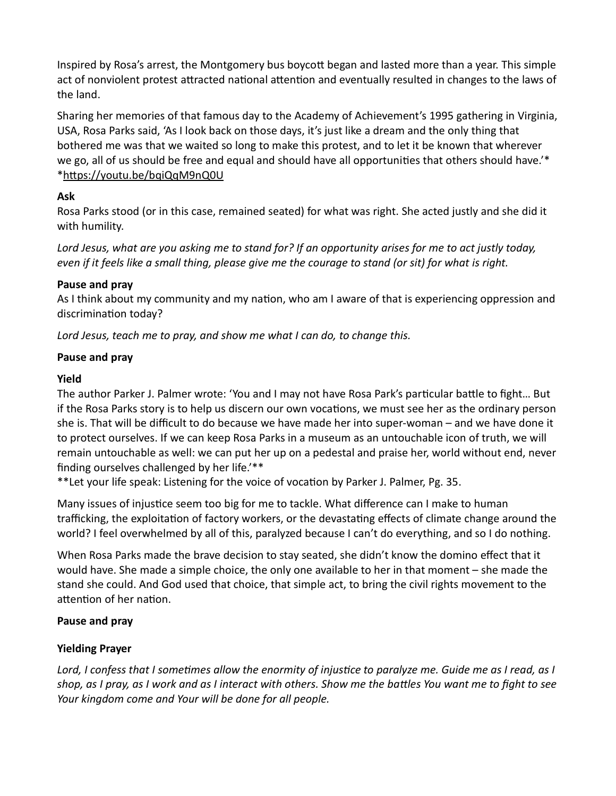Inspired by Rosa's arrest, the Montgomery bus boycott began and lasted more than a year. This simple act of nonviolent protest attracted national attention and eventually resulted in changes to the laws of the land.

Sharing her memories of that famous day to the Academy of Achievement's 1995 gathering in Virginia, USA, Rosa Parks said, 'As I look back on those days, it's just like a dream and the only thing that bothered me was that we waited so long to make this protest, and to let it be known that wherever we go, all of us should be free and equal and should have all opportunities that others should have.'\* \*hƩps://youtu.be/bqiQqM9nQ0U

# Ask

Rosa Parks stood (or in this case, remained seated) for what was right. She acted justly and she did it with humility.

Lord Jesus, what are you asking me to stand for? If an opportunity arises for me to act justly today, even if it feels like a small thing, please give me the courage to stand (or sit) for what is right.

# Pause and pray

As I think about my community and my nation, who am I aware of that is experiencing oppression and discrimination today?

Lord Jesus, teach me to pray, and show me what I can do, to change this.

# Pause and pray

# Yield

The author Parker J. Palmer wrote: 'You and I may not have Rosa Park's particular battle to fight... But if the Rosa Parks story is to help us discern our own vocations, we must see her as the ordinary person she is. That will be difficult to do because we have made her into super-woman – and we have done it to protect ourselves. If we can keep Rosa Parks in a museum as an untouchable icon of truth, we will remain untouchable as well: we can put her up on a pedestal and praise her, world without end, never finding ourselves challenged by her life.'\*\*

\*\*Let your life speak: Listening for the voice of vocation by Parker J. Palmer, Pg. 35.

Many issues of injustice seem too big for me to tackle. What difference can I make to human trafficking, the exploitation of factory workers, or the devastating effects of climate change around the world? I feel overwhelmed by all of this, paralyzed because I can't do everything, and so I do nothing.

When Rosa Parks made the brave decision to stay seated, she didn't know the domino effect that it would have. She made a simple choice, the only one available to her in that moment – she made the stand she could. And God used that choice, that simple act, to bring the civil rights movement to the attention of her nation.

# Pause and pray

# Yielding Prayer

Lord, I confess that I sometimes allow the enormity of injustice to paralyze me. Guide me as I read, as I shop, as I pray, as I work and as I interact with others. Show me the battles You want me to fight to see Your kingdom come and Your will be done for all people.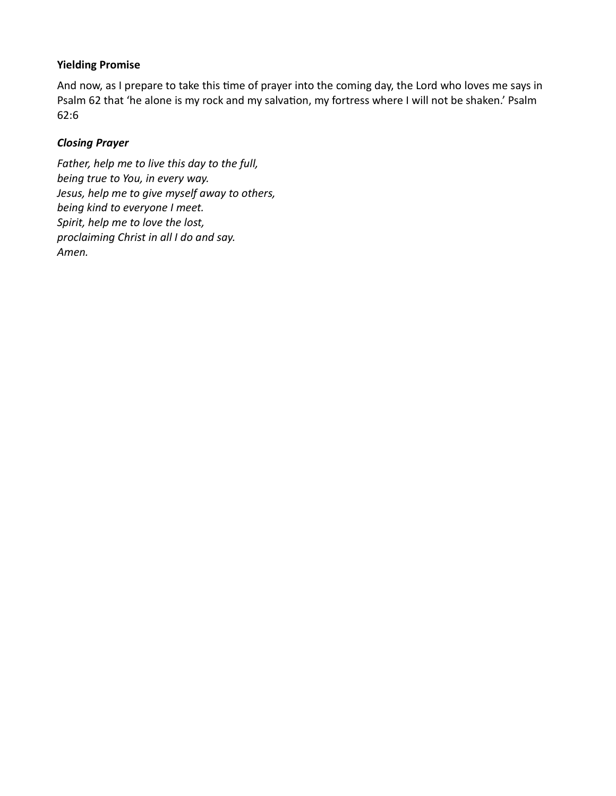# Yielding Promise

And now, as I prepare to take this time of prayer into the coming day, the Lord who loves me says in Psalm 62 that 'he alone is my rock and my salvation, my fortress where I will not be shaken.' Psalm 62:6

# Closing Prayer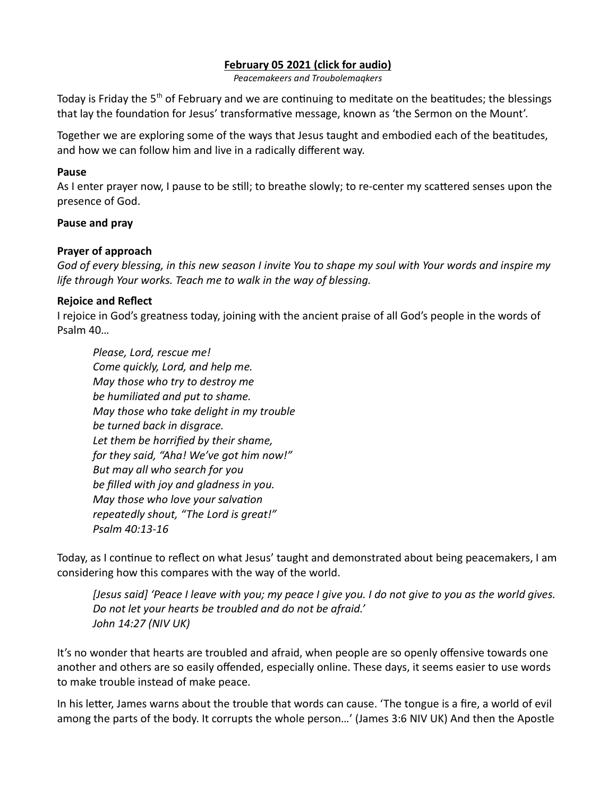# [February 05 2021 \(click for audio\)](https://drive.google.com/file/d/1PnooSR5lNtn5hHBGH5SGLwfUt2bqqWlD/view?usp=sharing)

Peacemakeers and Troubolemaqkers

Today is Friday the  $5<sup>th</sup>$  of February and we are continuing to meditate on the beatitudes; the blessings that lay the foundation for Jesus' transformative message, known as 'the Sermon on the Mount'.

Together we are exploring some of the ways that Jesus taught and embodied each of the beatitudes, and how we can follow him and live in a radically different way.

#### Pause

As I enter prayer now, I pause to be still; to breathe slowly; to re-center my scattered senses upon the presence of God.

#### Pause and pray

#### Prayer of approach

God of every blessing, in this new season I invite You to shape my soul with Your words and inspire my life through Your works. Teach me to walk in the way of blessing.

#### Rejoice and Reflect

I rejoice in God's greatness today, joining with the ancient praise of all God's people in the words of Psalm 40…

Please, Lord, rescue me! Come quickly, Lord, and help me. May those who try to destroy me be humiliated and put to shame. May those who take delight in my trouble be turned back in disgrace. Let them be horrified by their shame, for they said, "Aha! We've got him now!" But may all who search for you be filled with joy and gladness in you. May those who love your salvation repeatedly shout, "The Lord is great!" Psalm 40:13-16

Today, as I continue to reflect on what Jesus' taught and demonstrated about being peacemakers, I am considering how this compares with the way of the world.

[Jesus said] 'Peace I leave with you; my peace I give you. I do not give to you as the world gives. Do not let your hearts be troubled and do not be afraid.' John 14:27 (NIV UK)

It's no wonder that hearts are troubled and afraid, when people are so openly offensive towards one another and others are so easily offended, especially online. These days, it seems easier to use words to make trouble instead of make peace.

In his letter, James warns about the trouble that words can cause. 'The tongue is a fire, a world of evil among the parts of the body. It corrupts the whole person…' (James 3:6 NIV UK) And then the Apostle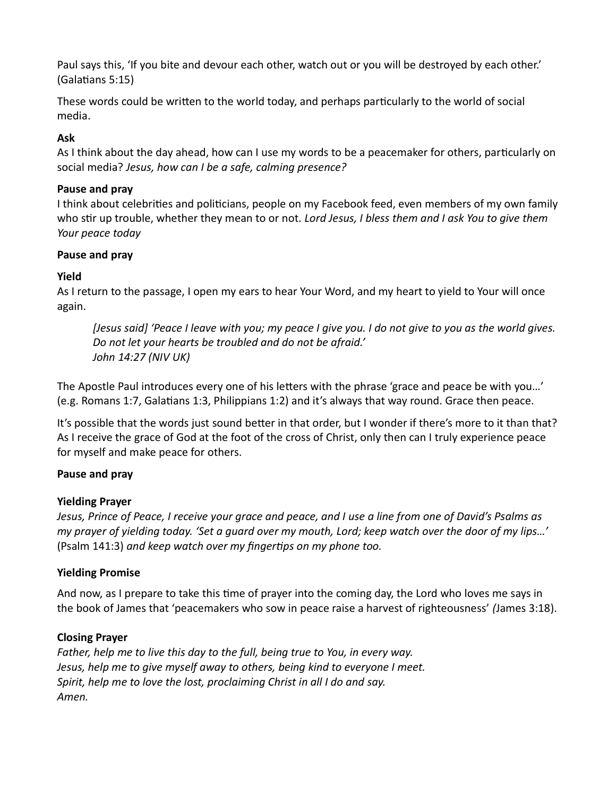Paul says this, 'If you bite and devour each other, watch out or you will be destroyed by each other.' (Galatians 5:15)

These words could be written to the world today, and perhaps particularly to the world of social media.

# Ask

As I think about the day ahead, how can I use my words to be a peacemaker for others, particularly on social media? Jesus, how can I be a safe, calming presence?

# Pause and pray

I think about celebrities and politicians, people on my Facebook feed, even members of my own family who stir up trouble, whether they mean to or not. Lord Jesus, I bless them and I ask You to give them Your peace today

# Pause and pray

# Yield

As I return to the passage, I open my ears to hear Your Word, and my heart to yield to Your will once again.

[Jesus said] 'Peace I leave with you; my peace I give you. I do not give to you as the world gives. Do not let your hearts be troubled and do not be afraid.' John 14:27 (NIV UK)

The Apostle Paul introduces every one of his letters with the phrase 'grace and peace be with you...' (e.g. Romans 1:7, Galatians 1:3, Philippians 1:2) and it's always that way round. Grace then peace.

It's possible that the words just sound better in that order, but I wonder if there's more to it than that? As I receive the grace of God at the foot of the cross of Christ, only then can I truly experience peace for myself and make peace for others.

# Pause and pray

# Yielding Prayer

Jesus, Prince of Peace, I receive your grace and peace, and I use a line from one of David's Psalms as my prayer of yielding today. 'Set a guard over my mouth, Lord; keep watch over the door of my lips…' (Psalm 141:3) and keep watch over my fingertips on my phone too.

# Yielding Promise

And now, as I prepare to take this time of prayer into the coming day, the Lord who loves me says in the book of James that 'peacemakers who sow in peace raise a harvest of righteousness' (James 3:18).

# Closing Prayer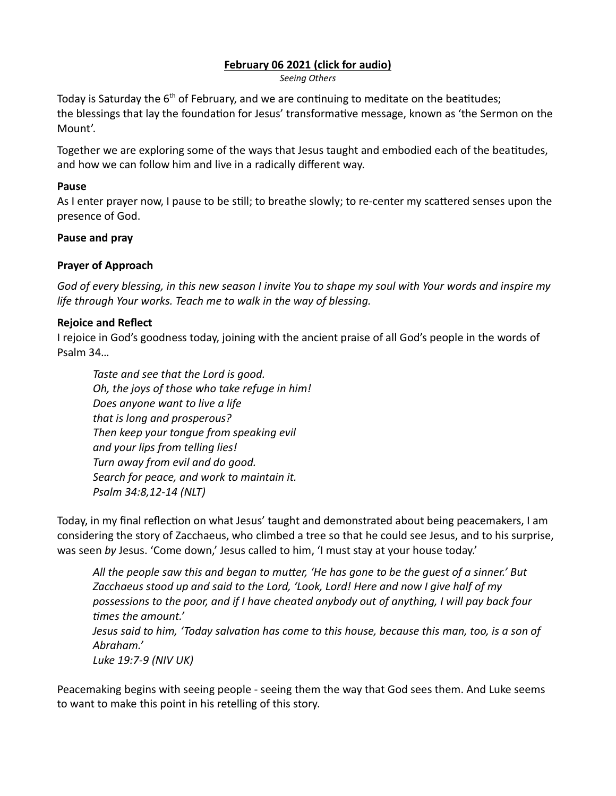# [February 06 2021 \(click for audio\)](https://drive.google.com/file/d/1rntRENZ3dJN-gPhErqvbYo8mRFZ00d6F/view?usp=sharing)

Seeing Others

Today is Saturday the  $6<sup>th</sup>$  of February, and we are continuing to meditate on the beatitudes; the blessings that lay the foundation for Jesus' transformative message, known as 'the Sermon on the Mount'.

Together we are exploring some of the ways that Jesus taught and embodied each of the beatitudes, and how we can follow him and live in a radically different way.

#### Pause

As I enter prayer now, I pause to be still; to breathe slowly; to re-center my scattered senses upon the presence of God.

#### Pause and pray

#### Prayer of Approach

God of every blessing, in this new season I invite You to shape my soul with Your words and inspire my life through Your works. Teach me to walk in the way of blessing.

# Rejoice and Reflect

I rejoice in God's goodness today, joining with the ancient praise of all God's people in the words of Psalm 34…

Taste and see that the Lord is good. Oh, the joys of those who take refuge in him! Does anyone want to live a life that is long and prosperous? Then keep your tongue from speaking evil and your lips from telling lies! Turn away from evil and do good. Search for peace, and work to maintain it. Psalm 34:8,12-14 (NLT)

Today, in my final reflection on what Jesus' taught and demonstrated about being peacemakers, I am considering the story of Zacchaeus, who climbed a tree so that he could see Jesus, and to his surprise, was seen by Jesus. 'Come down,' Jesus called to him, 'I must stay at your house today.'

All the people saw this and began to mutter, 'He has gone to be the quest of a sinner.' But Zacchaeus stood up and said to the Lord, 'Look, Lord! Here and now I give half of my possessions to the poor, and if I have cheated anybody out of anything, I will pay back four times the amount.' Jesus said to him, 'Today salvation has come to this house, because this man, too, is a son of Abraham.'

Luke 19:7-9 (NIV UK)

Peacemaking begins with seeing people - seeing them the way that God sees them. And Luke seems to want to make this point in his retelling of this story.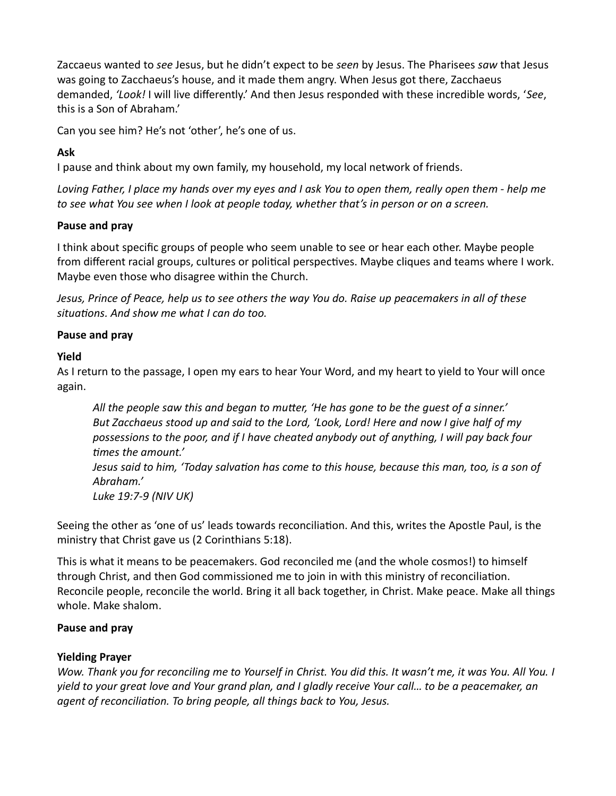Zaccaeus wanted to see Jesus, but he didn't expect to be seen by Jesus. The Pharisees saw that Jesus was going to Zacchaeus's house, and it made them angry. When Jesus got there, Zacchaeus demanded, 'Look! I will live differently.' And then Jesus responded with these incredible words, 'See, this is a Son of Abraham.'

Can you see him? He's not 'other', he's one of us.

# Ask

I pause and think about my own family, my household, my local network of friends.

Loving Father, I place my hands over my eyes and I ask You to open them, really open them - help me to see what You see when I look at people today, whether that's in person or on a screen.

# Pause and pray

I think about specific groups of people who seem unable to see or hear each other. Maybe people from different racial groups, cultures or political perspectives. Maybe cliques and teams where I work. Maybe even those who disagree within the Church.

Jesus, Prince of Peace, help us to see others the way You do. Raise up peacemakers in all of these situations. And show me what I can do too.

# Pause and pray

# Yield

As I return to the passage, I open my ears to hear Your Word, and my heart to yield to Your will once again.

All the people saw this and began to mutter, 'He has gone to be the guest of a sinner.' But Zacchaeus stood up and said to the Lord, 'Look, Lord! Here and now I give half of my possessions to the poor, and if I have cheated anybody out of anything, I will pay back four times the amount.' Jesus said to him, 'Today salvation has come to this house, because this man, too, is a son of Abraham.' Luke 19:7-9 (NIV UK)

Seeing the other as 'one of us' leads towards reconciliation. And this, writes the Apostle Paul, is the ministry that Christ gave us (2 Corinthians 5:18).

This is what it means to be peacemakers. God reconciled me (and the whole cosmos!) to himself through Christ, and then God commissioned me to join in with this ministry of reconciliation. Reconcile people, reconcile the world. Bring it all back together, in Christ. Make peace. Make all things whole. Make shalom.

# Pause and pray

# Yielding Prayer

Wow. Thank you for reconciling me to Yourself in Christ. You did this. It wasn't me, it was You. All You. I yield to your great love and Your grand plan, and I gladly receive Your call… to be a peacemaker, an agent of reconciliation. To bring people, all things back to You, Jesus.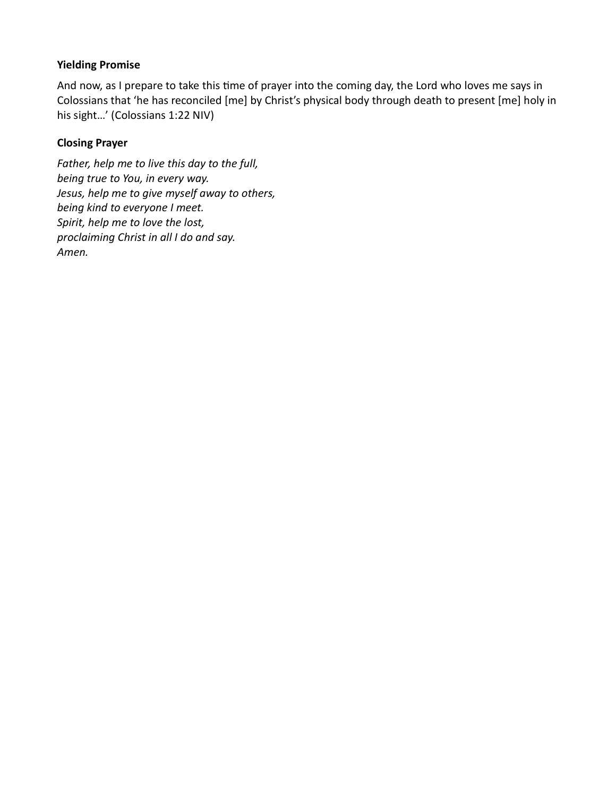# Yielding Promise

And now, as I prepare to take this time of prayer into the coming day, the Lord who loves me says in Colossians that 'he has reconciled [me] by Christ's physical body through death to present [me] holy in his sight…' (Colossians 1:22 NIV)

# Closing Prayer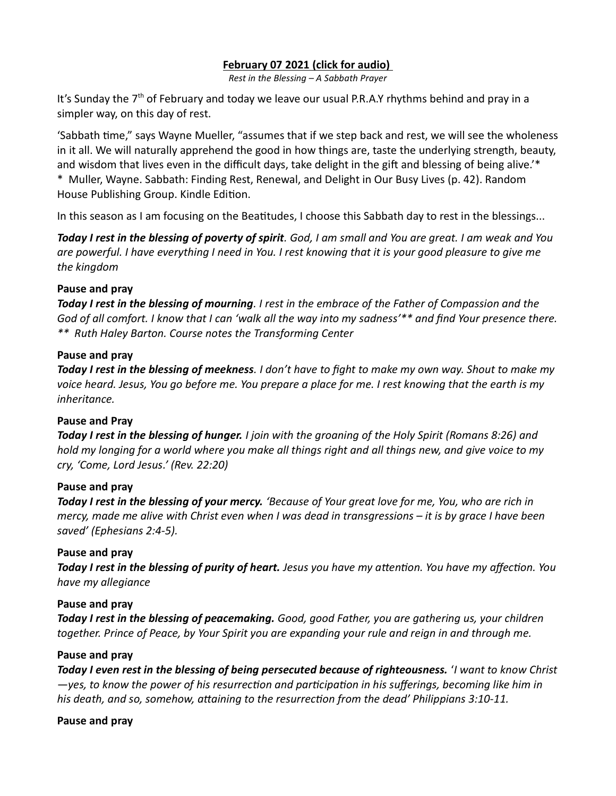# [February 07 2021 \(click for audio\)](https://drive.google.com/file/d/11QvdCxmYpg80gJVKDj-dPEHqP6le5crk/view?usp=sharing)

Rest in the Blessing – A Sabbath Prayer

It's Sunday the  $7<sup>th</sup>$  of February and today we leave our usual P.R.A.Y rhythms behind and pray in a simpler way, on this day of rest.

'Sabbath Ɵme," says Wayne Mueller, "assumes that if we step back and rest, we will see the wholeness in it all. We will naturally apprehend the good in how things are, taste the underlying strength, beauty, and wisdom that lives even in the difficult days, take delight in the gift and blessing of being alive.'\* \* Muller, Wayne. Sabbath: Finding Rest, Renewal, and Delight in Our Busy Lives (p. 42). Random House Publishing Group. Kindle Edition.

In this season as I am focusing on the Beatitudes, I choose this Sabbath day to rest in the blessings...

Today I rest in the blessing of poverty of spirit. God, I am small and You are great. I am weak and You are powerful. I have everything I need in You. I rest knowing that it is your good pleasure to give me the kingdom

#### Pause and pray

Today I rest in the blessing of mourning. I rest in the embrace of the Father of Compassion and the God of all comfort. I know that I can 'walk all the way into my sadness'\*\* and find Your presence there. \*\* Ruth Haley Barton. Course notes the Transforming Center

#### Pause and pray

Today I rest in the blessing of meekness. I don't have to fight to make my own way. Shout to make my voice heard. Jesus, You go before me. You prepare a place for me. I rest knowing that the earth is my inheritance.

#### Pause and Pray

**Today I rest in the blessing of hunger.** I join with the groaning of the Holy Spirit (Romans 8:26) and hold my longing for a world where you make all things right and all things new, and give voice to my cry, 'Come, Lord Jesus.' (Rev. 22:20)

#### Pause and pray

Today I rest in the blessing of your mercy. 'Because of Your great love for me, You, who are rich in mercy, made me alive with Christ even when I was dead in transgressions – it is by grace I have been saved' (Ephesians 2:4-5).

#### Pause and pray

Today I rest in the blessing of purity of heart. Jesus you have my attention. You have my affection. You have my allegiance

#### Pause and pray

Today I rest in the blessing of peacemaking. Good, good Father, you are gathering us, your children together. Prince of Peace, by Your Spirit you are expanding your rule and reign in and through me.

#### Pause and pray

Today I even rest in the blessing of being persecuted because of righteousness. 'I want to know Christ  $-$ yes, to know the power of his resurrection and participation in his sufferings, becoming like him in his death, and so, somehow, attaining to the resurrection from the dead' Philippians  $3:10-11$ .

#### Pause and pray